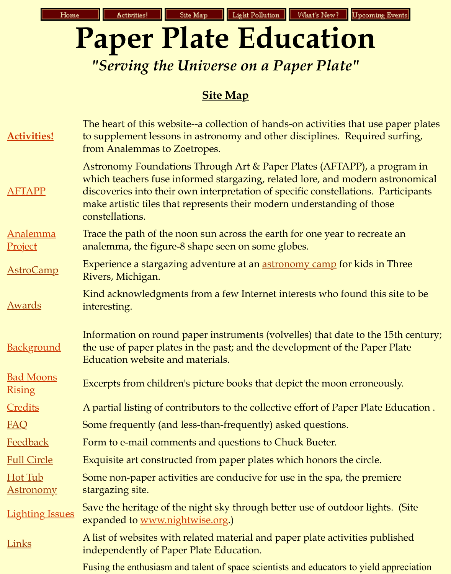## **Site [Map](http://analyzer.depaul.edu/paperplate/lights.htm)**

| <b>Activities!</b>                | The heart of this website--a collection of hands-on activities that use<br>to supplement lessons in astronomy and other disciplines. Required<br>from Analemmas to Zoetropes.                                                                                                                                |  |  |  |  |
|-----------------------------------|--------------------------------------------------------------------------------------------------------------------------------------------------------------------------------------------------------------------------------------------------------------------------------------------------------------|--|--|--|--|
| <b>AFTAPP</b>                     | Astronomy Foundations Through Art & Paper Plates (AFTAPP), a p<br>which teachers fuse informed stargazing, related lore, and modern a<br>discoveries into their own interpretation of specific constellations. F<br>make artistic tiles that represents their modern understanding of the<br>constellations. |  |  |  |  |
| <b>Analemma</b><br>Project        | Trace the path of the noon sun across the earth for one year to recrea<br>analemma, the figure-8 shape seen on some globes.                                                                                                                                                                                  |  |  |  |  |
| <b>AstroCamp</b>                  | Experience a stargazing adventure at an <u>astronomy camp</u> for kids in<br>Rivers, Michigan.                                                                                                                                                                                                               |  |  |  |  |
| <u>Awards</u>                     | Kind acknowledgments from a few Internet interests who found this<br>interesting.                                                                                                                                                                                                                            |  |  |  |  |
| <b>Background</b>                 | Information on round paper instruments (volvelles) that date to the<br>the use of paper plates in the past; and the development of the Pape<br>Education website and materials.                                                                                                                              |  |  |  |  |
| <b>Bad Moons</b><br><b>Rising</b> | Excerpts from children's picture books that depict the moon erroneo                                                                                                                                                                                                                                          |  |  |  |  |
| <b>Credits</b>                    | A partial listing of contributors to the collective effort of Paper Plate                                                                                                                                                                                                                                    |  |  |  |  |
| <b>FAQ</b>                        | Some frequently (and less-than-frequently) asked questions.                                                                                                                                                                                                                                                  |  |  |  |  |
| <b>Feedback</b>                   | Form to e-mail comments and questions to Chuck Bueter.                                                                                                                                                                                                                                                       |  |  |  |  |
| <b>Full Circle</b>                | Exquisite art constructed from paper plates which honors the circle.                                                                                                                                                                                                                                         |  |  |  |  |
| Hot Tub<br><u>Astronomy</u>       | Some non-paper activities are conducive for use in the spa, the prem<br>stargazing site.                                                                                                                                                                                                                     |  |  |  |  |
| <b>Lighting Issues</b>            | Save the heritage of the night sky through better use of outdoor ligh<br>expanded to www.nightwise.org.)                                                                                                                                                                                                     |  |  |  |  |
| <b>Links</b>                      | A list of websites with related material and paper plate activities pul<br>independently of Paper Plate Education.                                                                                                                                                                                           |  |  |  |  |
|                                   | Fusing the enthusiasm and talent of space scientists and educators to yield                                                                                                                                                                                                                                  |  |  |  |  |